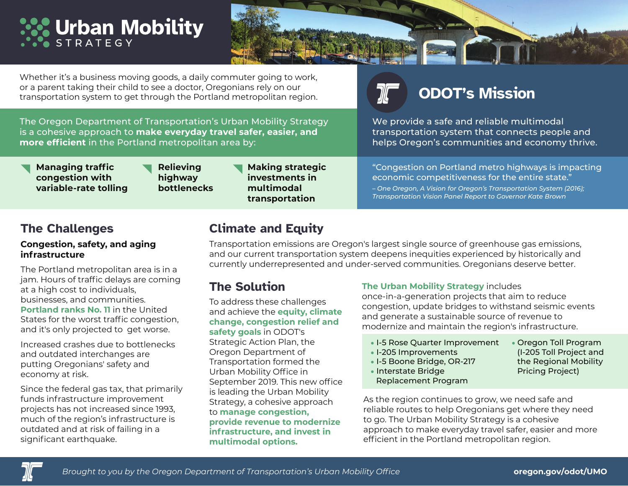# **WEDER Mobility**

Whether it's a business moving goods, a daily commuter going to work, or a parent taking their child to see a doctor, Oregonians rely on our transportation system to get through the Portland metropolitan region.

The Oregon Department of Transportation's Urban Mobility Strategy is a cohesive approach to **make everyday travel safer, easier, and more efficient** in the Portland metropolitan area by:

**Managing traffic congestion with variable-rate tolling** **Relieving highway bottlenecks** **Making strategic investments in multimodal transportation** 



## **ODOT's Mission**

We provide a safe and reliable multimodal transportation system that connects people and helps Oregon's communities and economy thrive.

"Congestion on Portland metro highways is impacting economic competitiveness for the entire state."

*– One Oregon, A Vision for Oregon's Transportation System (2016); Transportation Vision Panel Report to Governor Kate Brown*

#### **The Challenges**

#### **Congestion, safety, and aging infrastructure**

The Portland metropolitan area is in a jam. Hours of traffic delays are coming at a high cost to individuals, businesses, and communities. **Portland ranks No. 11** in the United States for the worst traffic congestion, and it's only projected to get worse.

Increased crashes due to bottlenecks and outdated interchanges are putting Oregonians' safety and economy at risk.

Since the federal gas tax, that primarily funds infrastructure improvement projects has not increased since 1993, much of the region's infrastructure is outdated and at risk of failing in a significant earthquake.

## **Climate and Equity**

Transportation emissions are Oregon's largest single source of greenhouse gas emissions, and our current transportation system deepens inequities experienced by historically and currently underrepresented and under-served communities. Oregonians deserve better.

### **The Solution**

To address these challenges and achieve the **equity, climate change, congestion relief and safety goals** in ODOT's Strategic Action Plan, the Oregon Department of Transportation formed the Urban Mobility Office in September 2019. This new office is leading the Urban Mobility Strategy, a cohesive approach to **manage congestion, provide revenue to modernize infrastructure, and invest in multimodal options.** 

**The Urban Mobility Strategy** includes

once-in-a-generation projects that aim to reduce congestion, update bridges to withstand seismic events and generate a sustainable source of revenue to modernize and maintain the region's infrastructure.

- I-5 Rose Quarter Improvement
- I-205 Improvements
- I-5 Boone Bridge, OR-217
- Interstate Bridge
- Replacement Program

As the region continues to grow, we need safe and reliable routes to help Oregonians get where they need to go. The Urban Mobility Strategy is a cohesive approach to make everyday travel safer, easier and more efficient in the Portland metropolitan region.

*Brought to you by the Oregon Department of Transportation's Urban Mobility Office* **oregon.gov/odot/UMO**

• Oregon Toll Program (I-205 Toll Project and the Regional Mobility Pricing Project)